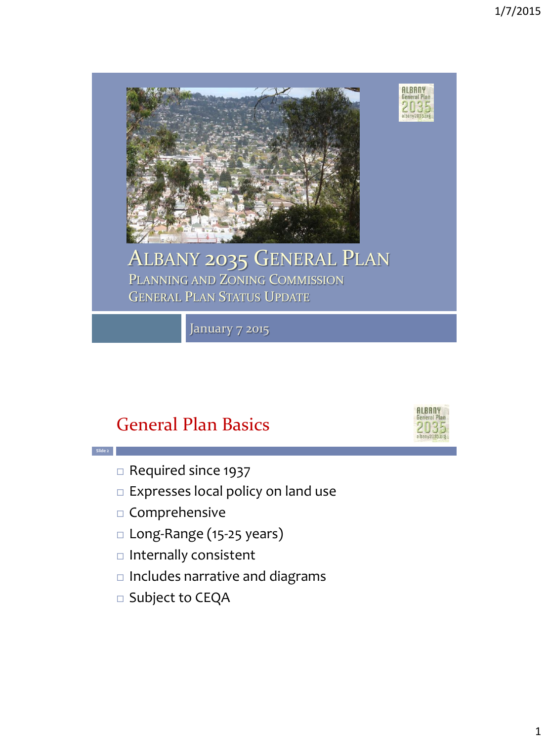

January 7 2015

# General Plan Basics



Required since 1937

- $\square$  Expresses local policy on land use
- $\square$  Comprehensive
- □ Long-Range (15-25 years)
- $\Box$  Internally consistent
- $\Box$  Includes narrative and diagrams
- □ Subject to CEQA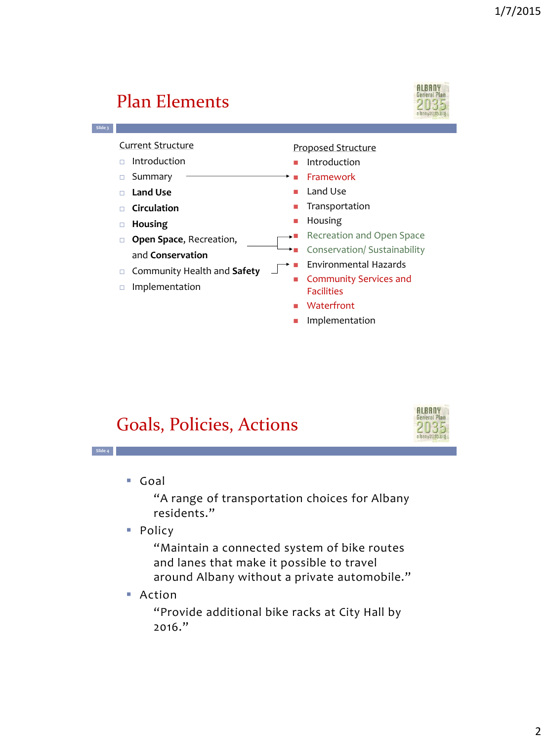**ALBANY** 

#### **ALBANY** Plan Elements General Pla **Slide 3** Current Structure Proposed Structure  $\Box$  Introduction **Introduction**  Framework □ Summary Land Use **Land Use** Transportation **Circulation Housing Housing** Recreation and Open Space **D** Open Space, Recreation, Conservation/ Sustainability and **Conservation** Environmental Hazards Community Health and **Safety** Community Services and Implementation Facilities Waterfront **Implementation**

## Goals, Policies, Actions

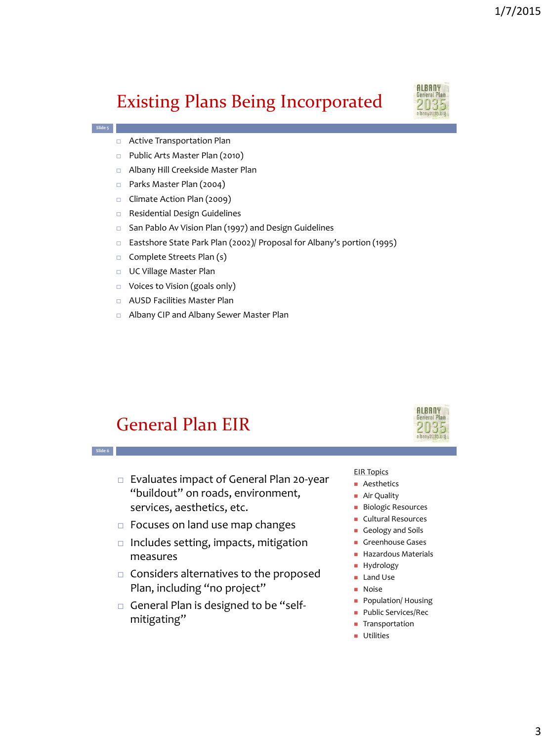## Existing Plans Being Incorporated



**ALBANY** ieneral Plan 2035

- Active Transportation Plan
- □ Public Arts Master Plan (2010)
- Albany Hill Creekside Master Plan
- □ Parks Master Plan (2004)
- □ Climate Action Plan (2009)
- Residential Design Guidelines
- □ San Pablo Av Vision Plan (1997) and Design Guidelines
- Eastshore State Park Plan (2002)/ Proposal for Albany's portion (1995)
- $\Box$  Complete Streets Plan (s)
- UC Village Master Plan
- Voices to Vision (goals only)
- AUSD Facilities Master Plan
- Albany CIP and Albany Sewer Master Plan

#### General Plan EIR

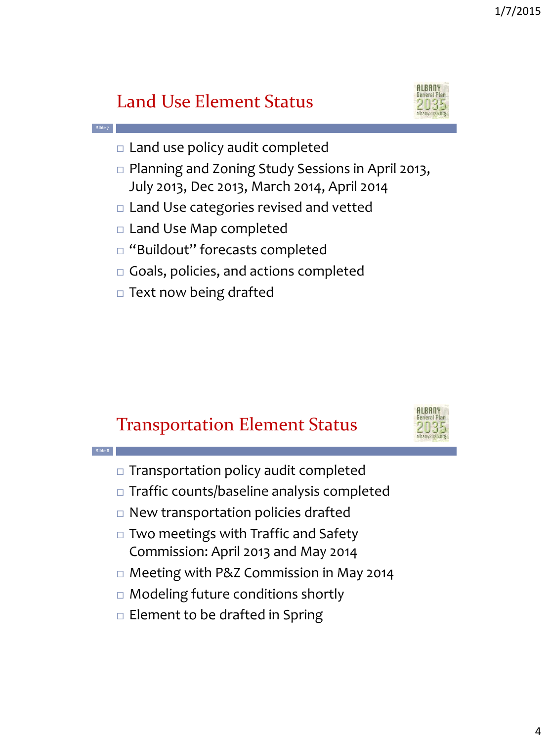# Land Use Element Status

**Slide 7**

**Slide 8**



- $\Box$  Land use policy audit completed
- □ Planning and Zoning Study Sessions in April 2013, July 2013, Dec 2013, March 2014, April 2014
- Land Use categories revised and vetted
- □ Land Use Map completed
- □ "Buildout" forecasts completed
- Goals, policies, and actions completed
- $\Box$  Text now being drafted

## Transportation Element Status



- $\Box$  Transportation policy audit completed
- $\Box$  Traffic counts/baseline analysis completed
- $\Box$  New transportation policies drafted
- □ Two meetings with Traffic and Safety Commission: April 2013 and May 2014
- □ Meeting with P&Z Commission in May 2014
- □ Modeling future conditions shortly
- $\Box$  Element to be drafted in Spring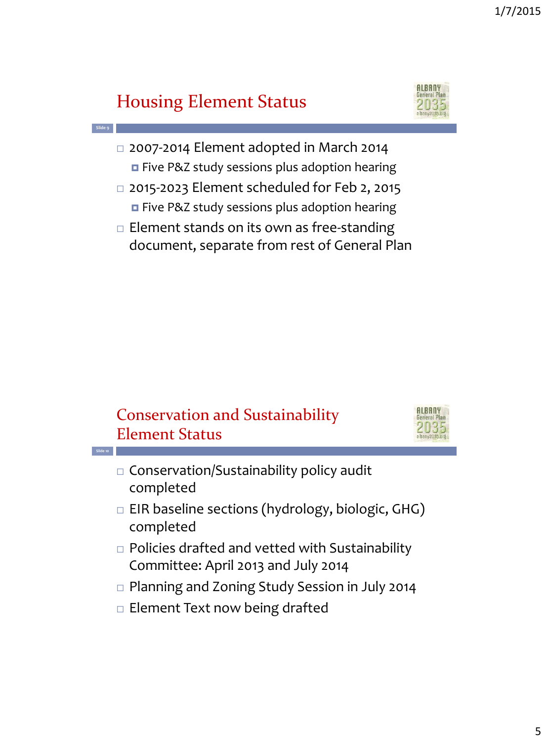# Housing Element Status



- 2007-2014 Element adopted in March 2014 **E** Five P&Z study sessions plus adoption hearing
- 2015-2023 Element scheduled for Feb 2, 2015 **E** Five P&Z study sessions plus adoption hearing
- $\Box$  Element stands on its own as free-standing document, separate from rest of General Plan



- $\Box$  EIR baseline sections (hydrology, biologic, GHG) completed
- $\Box$  Policies drafted and vetted with Sustainability Committee: April 2013 and July 2014
- □ Planning and Zoning Study Session in July 2014
- $\Box$  Element Text now being drafted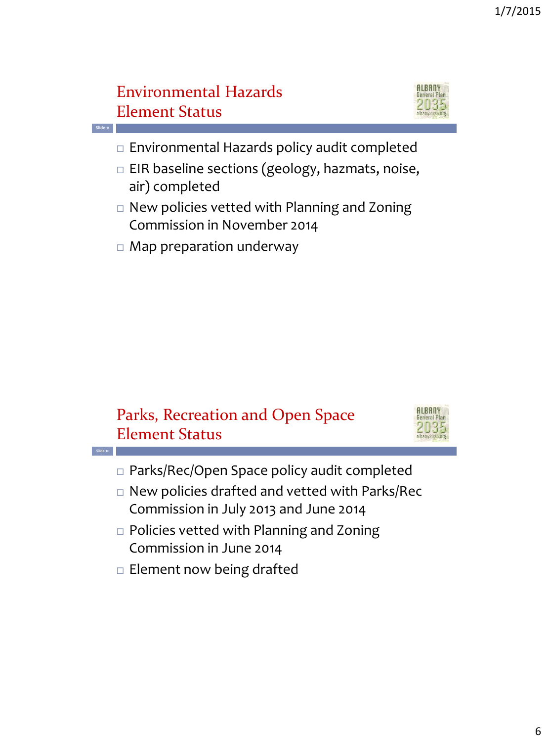## Environmental Hazards Element Status



- $\Box$  Environmental Hazards policy audit completed
- $\Box$  EIR baseline sections (geology, hazmats, noise, air) completed
- □ New policies vetted with Planning and Zoning Commission in November 2014
- Map preparation underway





- Parks/Rec/Open Space policy audit completed
- New policies drafted and vetted with Parks/Rec Commission in July 2013 and June 2014
- □ Policies vetted with Planning and Zoning Commission in June 2014
- $\Box$  Element now being drafted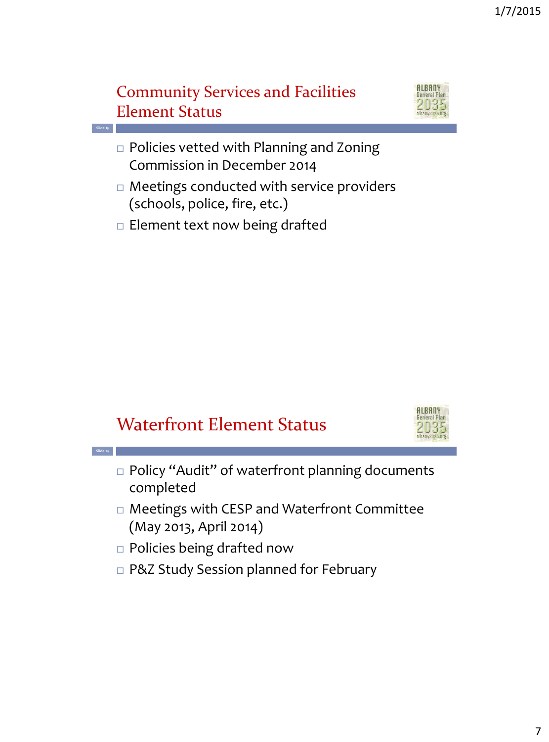#### Community Services and Facilities Element Status



- □ Policies vetted with Planning and Zoning Commission in December 2014
- Meetings conducted with service providers (schools, police, fire, etc.)
- $\Box$  Element text now being drafted

**Slide 13**

**Slide 14**

## Waterfront Element Status



- □ Policy "Audit" of waterfront planning documents completed
- Meetings with CESP and Waterfront Committee (May 2013, April 2014)
- Policies being drafted now
- □ P&Z Study Session planned for February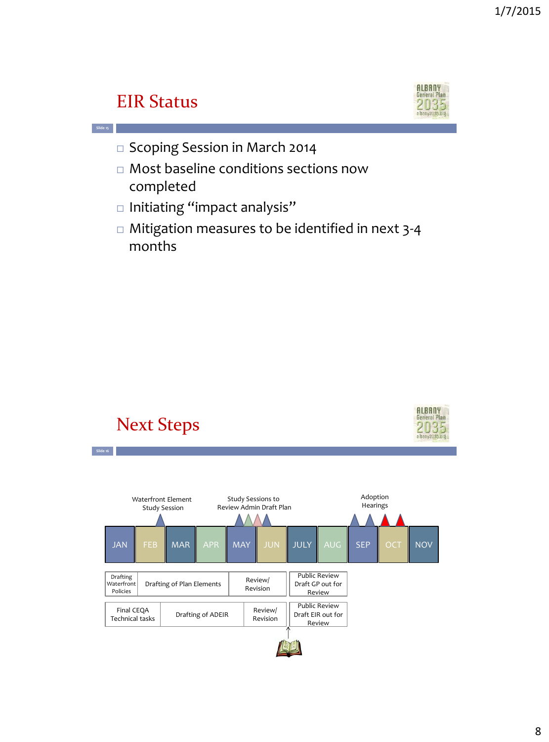## EIR Status



- □ Scoping Session in March 2014
- Most baseline conditions sections now completed
- $\square$  Initiating "impact analysis"
- □ Mitigation measures to be identified in next 3-4 months